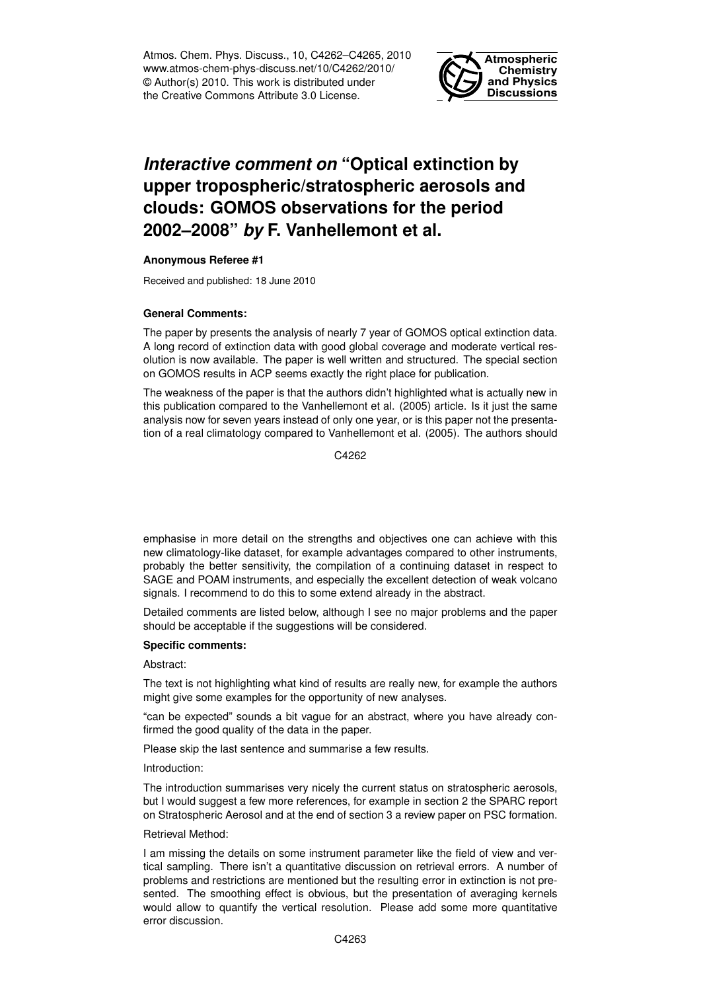Atmos. Chem. Phys. Discuss., 10, C4262–C4265, 2010 www.atmos-chem-phys-discuss.net/10/C4262/2010/ © Author(s) 2010. This work is distributed under the Creative Commons Attribute 3.0 License.



# *Interactive comment on* **"Optical extinction by upper tropospheric/stratospheric aerosols and clouds: GOMOS observations for the period 2002–2008"** *by* **F. Vanhellemont et al.**

## **Anonymous Referee #1**

Received and published: 18 June 2010

## **General Comments:**

The paper by presents the analysis of nearly 7 year of GOMOS optical extinction data. A long record of extinction data with good global coverage and moderate vertical resolution is now available. The paper is well written and structured. The special section on GOMOS results in ACP seems exactly the right place for publication.

The weakness of the paper is that the authors didn't highlighted what is actually new in this publication compared to the Vanhellemont et al. (2005) article. Is it just the same analysis now for seven years instead of only one year, or is this paper not the presentation of a real climatology compared to Vanhellemont et al. (2005). The authors should

C4262

emphasise in more detail on the strengths and objectives one can achieve with this new climatology-like dataset, for example advantages compared to other instruments, probably the better sensitivity, the compilation of a continuing dataset in respect to SAGE and POAM instruments, and especially the excellent detection of weak volcano signals. I recommend to do this to some extend already in the abstract.

Detailed comments are listed below, although I see no major problems and the paper should be acceptable if the suggestions will be considered.

## **Specific comments:**

## Abstract:

The text is not highlighting what kind of results are really new, for example the authors might give some examples for the opportunity of new analyses.

"can be expected" sounds a bit vague for an abstract, where you have already confirmed the good quality of the data in the paper.

Please skip the last sentence and summarise a few results.

## Introduction:

The introduction summarises very nicely the current status on stratospheric aerosols, but I would suggest a few more references, for example in section 2 the SPARC report on Stratospheric Aerosol and at the end of section 3 a review paper on PSC formation.

## Retrieval Method:

I am missing the details on some instrument parameter like the field of view and vertical sampling. There isn't a quantitative discussion on retrieval errors. A number of problems and restrictions are mentioned but the resulting error in extinction is not presented. The smoothing effect is obvious, but the presentation of averaging kernels would allow to quantify the vertical resolution. Please add some more quantitative error discussion.